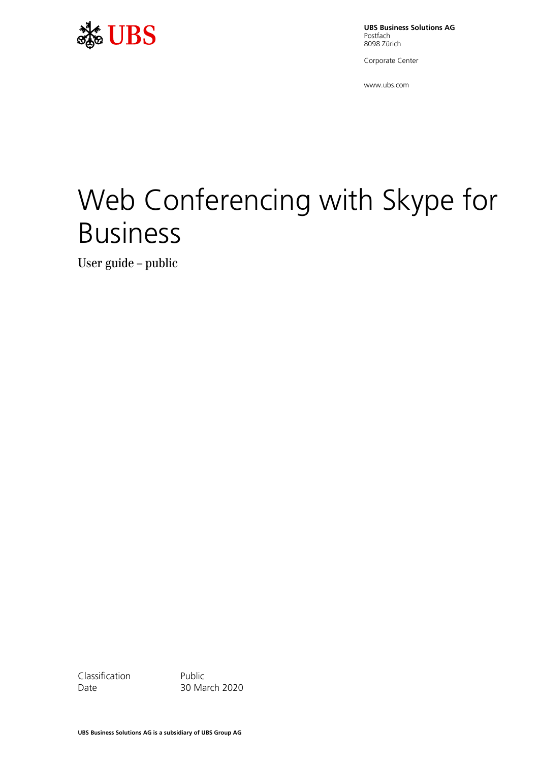

**UBS Business Solutions AG** Postfach 8098 Zürich

Corporate Center

www.ubs.com

# Web Conferencing with Skype for Business

User guide – public

Classification Public

Date 30 March 2020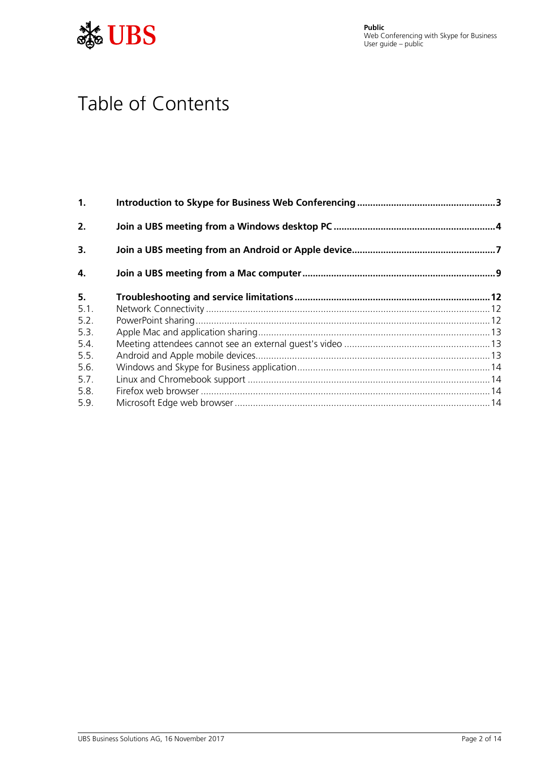



# Table of Contents

| 1.   |  |
|------|--|
| 2.   |  |
| 3.   |  |
| 4.   |  |
| 5.   |  |
| 5.1. |  |
| 5.2. |  |
| 5.3. |  |
| 5.4. |  |
| 5.5. |  |
| 5.6. |  |
| 5.7. |  |
| 5.8. |  |
| 5.9. |  |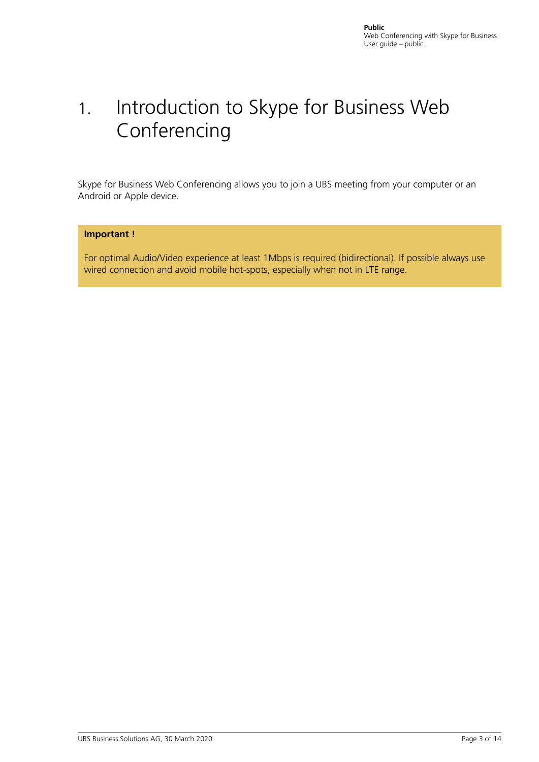# <span id="page-2-0"></span>1. Introduction to Skype for Business Web Conferencing

Skype for Business Web Conferencing allows you to join a UBS meeting from your computer or an Android or Apple device.

### **Important !**

For optimal Audio/Video experience at least 1Mbps is required (bidirectional). If possible always use wired connection and avoid mobile hot-spots, especially when not in LTE range.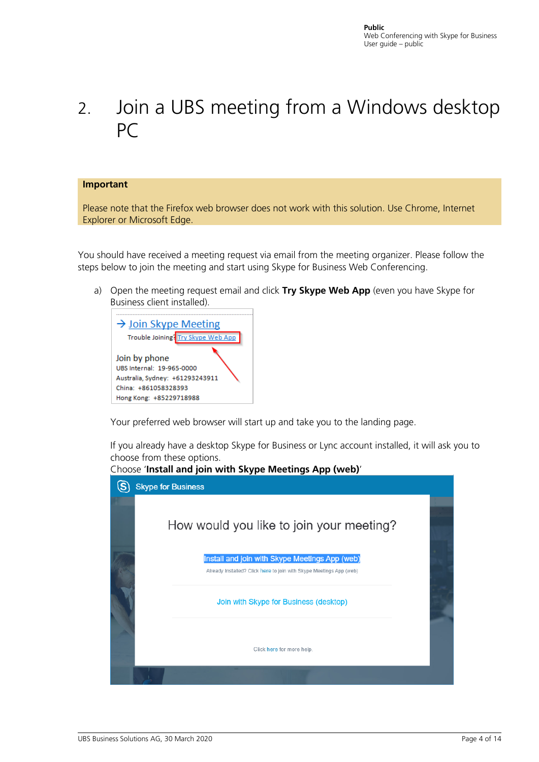# <span id="page-3-0"></span>2. Join a UBS meeting from a Windows desktop PC

#### **Important**

Please note that the Firefox web browser does not work with this solution. Use Chrome, Internet Explorer or Microsoft Edge.

You should have received a meeting request via email from the meeting organizer. Please follow the steps below to join the meeting and start using Skype for Business Web Conferencing.

a) Open the meeting request email and click **Try Skype Web App** (even you have Skype for Business client installed).



Your preferred web browser will start up and take you to the landing page.

If you already have a desktop Skype for Business or Lync account installed, it will ask you to choose from these options.



Choose '**Install and join with Skype Meetings App (web)**'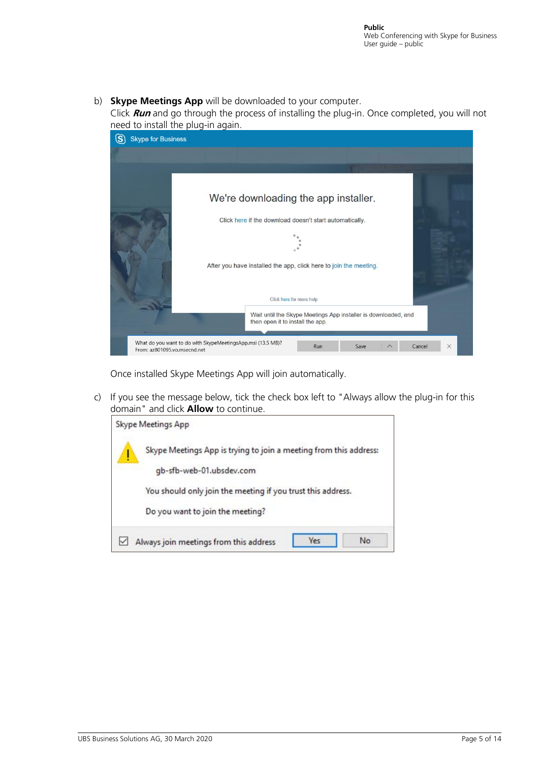### b) **Skype Meetings App** will be downloaded to your computer.

Click **Run** and go through the process of installing the plug-in. Once completed, you will not need to install the plug-in again.

| S<br><b>Skype for Business</b> |                                                                   |                                                                                                    |      |        |   |
|--------------------------------|-------------------------------------------------------------------|----------------------------------------------------------------------------------------------------|------|--------|---|
|                                |                                                                   |                                                                                                    |      |        |   |
|                                |                                                                   |                                                                                                    |      |        |   |
|                                | We're downloading the app installer.                              |                                                                                                    |      |        |   |
|                                | Click here if the download doesn't start automatically.           |                                                                                                    |      |        |   |
|                                |                                                                   |                                                                                                    |      |        |   |
|                                | After you have installed the app, click here to join the meeting. |                                                                                                    |      |        |   |
|                                |                                                                   |                                                                                                    |      |        |   |
|                                |                                                                   | Click here for more help                                                                           |      |        |   |
|                                |                                                                   | Wait until the Skype Meetings App installer is downloaded, and<br>then open it to install the app. |      |        |   |
| From: az801095.vo.msecnd.net   | What do you want to do with SkypeMeetingsApp.msi (13.5 MB)?       | Run                                                                                                | Save | Cancel | X |

Once installed Skype Meetings App will join automatically.

c) If you see the message below, tick the check box left to "Always allow the plug-in for this domain" and click **Allow** to continue.

|   | Skype Meetings App                                                |
|---|-------------------------------------------------------------------|
| ļ | Skype Meetings App is trying to join a meeting from this address: |
|   | gb-sfb-web-01.ubsdev.com                                          |
|   | You should only join the meeting if you trust this address.       |
|   | Do you want to join the meeting?                                  |
|   | Yes<br>No<br>Always join meetings from this address               |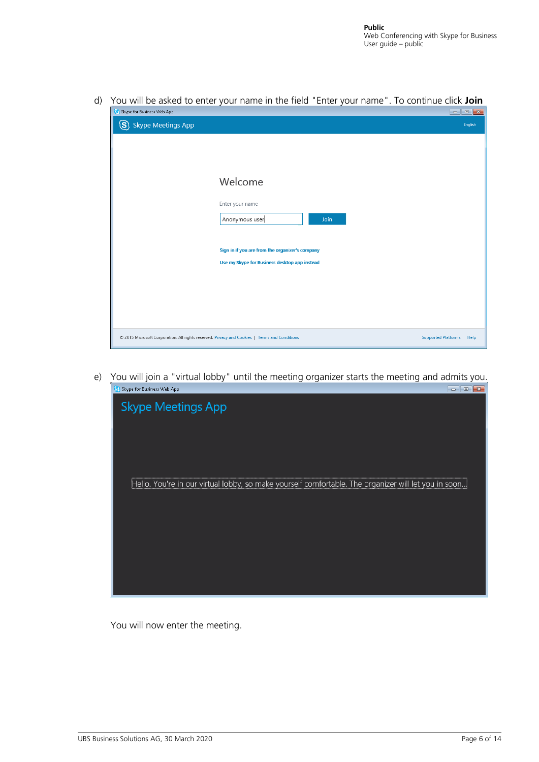Skype for Business Web App S Skype Meetings App English Welcome Enter your name Anonymous user Join Sign in if you are from the organizer's company Use my Skype for Business desktop app instead © 2015 Microsoft Corporation. All rights reserved. Privacy and Cookies | Terms and Conditions Supported Platforms Help

d) You will be asked to enter your name in the field "Enter your name". To continue click **Join**

e) You will join a "virtual lobby" until the meeting organizer starts the meeting and admits you. S Skype for Business Web App 



You will now enter the meeting.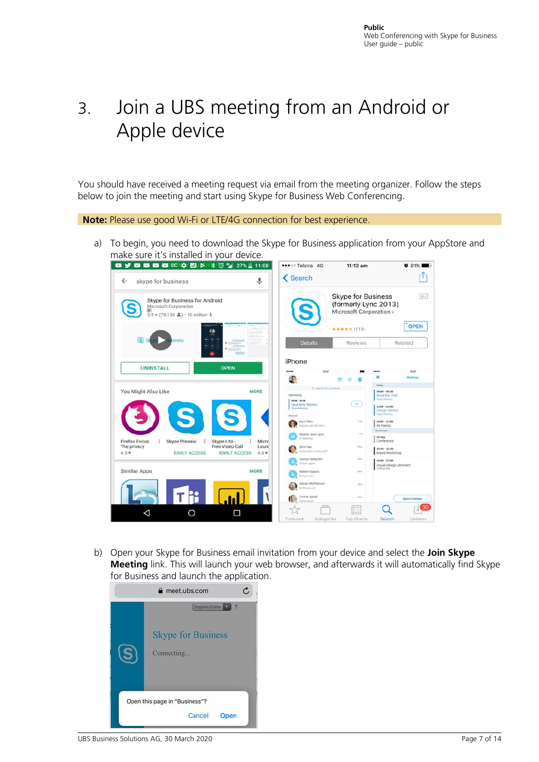# <span id="page-6-0"></span>3. Join a UBS meeting from an Android or Apple device

You should have received a meeting request via email from the meeting organizer. Follow the steps below to join the meeting and start using Skype for Business Web Conferencing.

**Note:** Please use good Wi-Fi or LTE/4G connection for best experience.

a) To begin, you need to download the Skype for Business application from your AppStore and make sure it's installed in your device.



b) Open your Skype for Business email invitation from your device and select the **Join Skype Meeting** link. This will launch your web browser, and afterwards it will automatically find Skype for Business and launch the application.

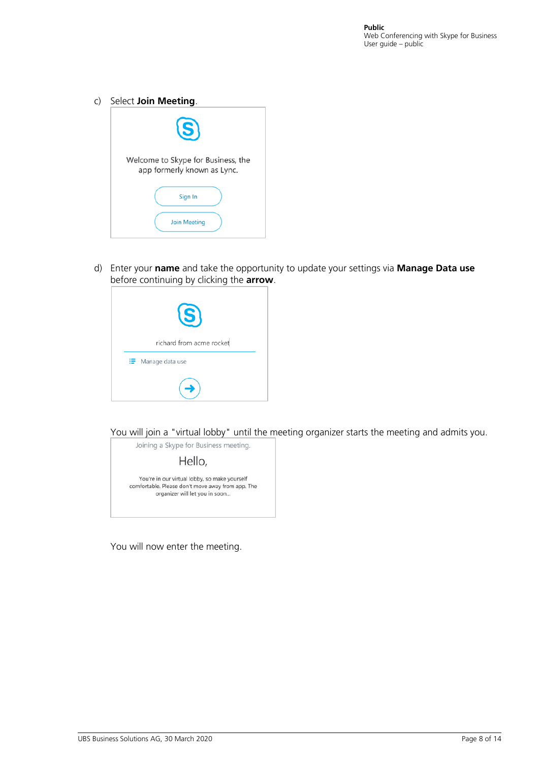c) Select **Join Meeting**.

| (S)                                                               |  |
|-------------------------------------------------------------------|--|
| Welcome to Skype for Business, the<br>app formerly known as Lync. |  |
| Sign In                                                           |  |
| <b>Join Meeting</b>                                               |  |

d) Enter your **name** and take the opportunity to update your settings via **Manage Data use** before continuing by clicking the **arrow**.

| $\left( S\right)$        |
|--------------------------|
| richard from acme rocket |
| : Manage data use        |
|                          |

You will join a "virtual lobby" until the meeting organizer starts the meeting and admits you.



You will now enter the meeting.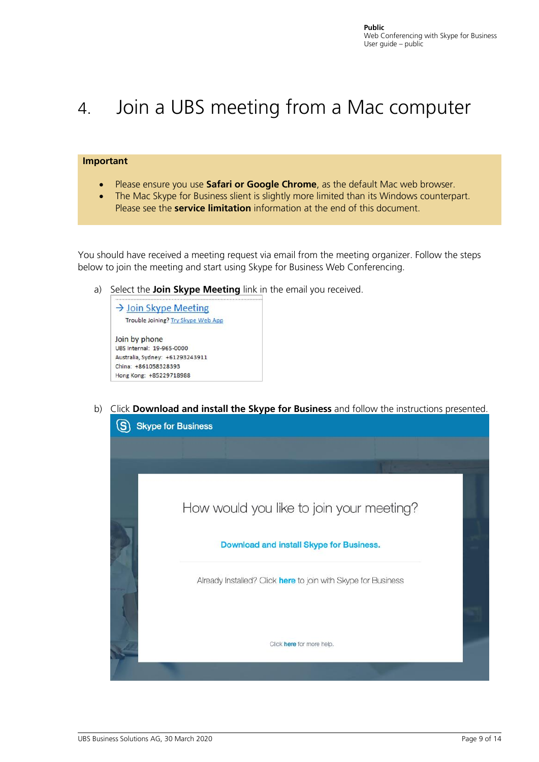# <span id="page-8-0"></span>4. Join a UBS meeting from a Mac computer

#### **Important**

- Please ensure you use **Safari or Google Chrome**, as the default Mac web browser.
- The Mac Skype for Business slient is slightly more limited than its Windows counterpart. Please see the **service limitation** information at the end of this document.

You should have received a meeting request via email from the meeting organizer. Follow the steps below to join the meeting and start using Skype for Business Web Conferencing.

a) Select the **Join Skype Meeting** link in the email you received.



b) Click **Download and install the Skype for Business** and follow the instructions presented.

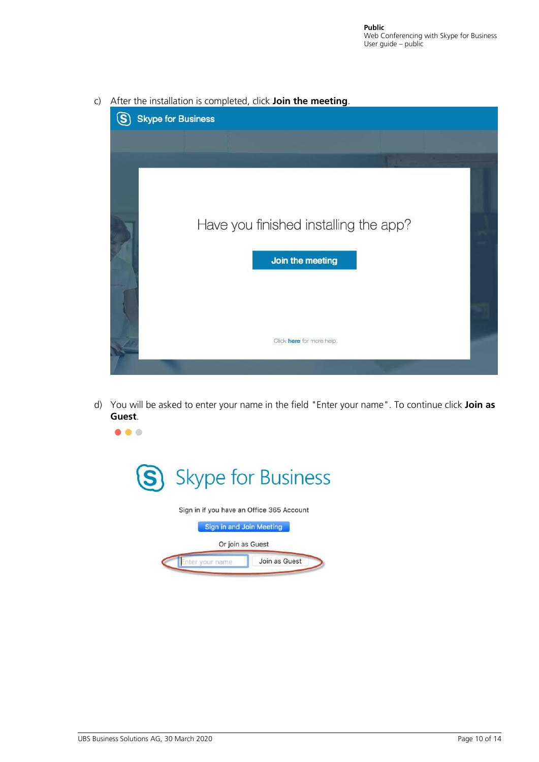

c) After the installation is completed, click **Join the meeting**.

d) You will be asked to enter your name in the field "Enter your name". To continue click **Join as Guest**.



 $\bullet\bullet\bullet$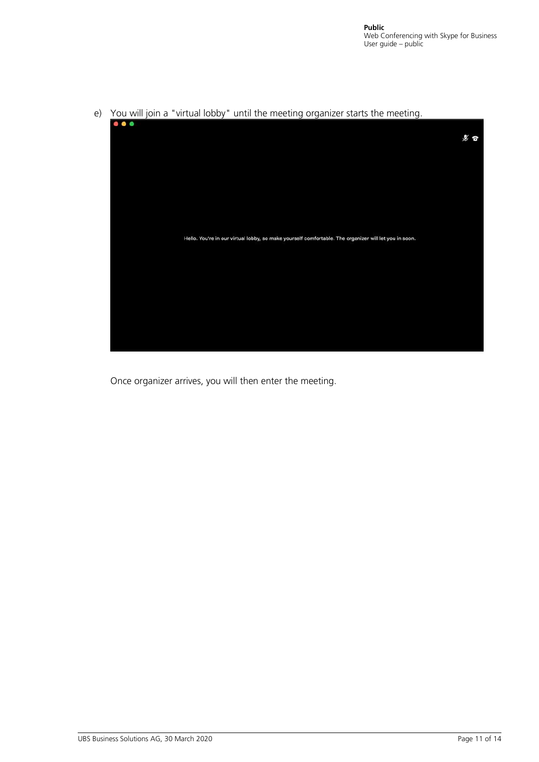

e) You will join a "virtual lobby" until the meeting organizer starts the meeting.

Once organizer arrives, you will then enter the meeting.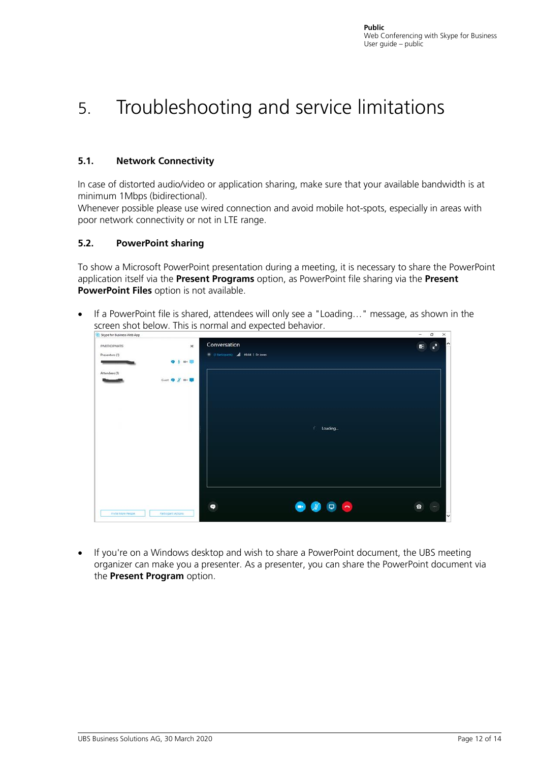# <span id="page-11-0"></span>5. Troubleshooting and service limitations

### <span id="page-11-1"></span>**5.1. Network Connectivity**

In case of distorted audio/video or application sharing, make sure that your available bandwidth is at minimum 1Mbps (bidirectional).

Whenever possible please use wired connection and avoid mobile hot-spots, especially in areas with poor network connectivity or not in LTE range.

### <span id="page-11-2"></span>**5.2. PowerPoint sharing**

To show a Microsoft PowerPoint presentation during a meeting, it is necessary to share the PowerPoint application itself via the **Present Programs** option, as PowerPoint file sharing via the **Present PowerPoint Files** option is not available.

• If a PowerPoint file is shared, attendees will only see a "Loading…" message, as shown in the screen shot below. This is normal and expected behavior.  $\sim$ 

| <b>PARTICIPANTS</b> | $\times$            | Conversation                            | $\mathbf{r}^2$<br>$\mathbf{H}$ |
|---------------------|---------------------|-----------------------------------------|--------------------------------|
| Presenters (1)      | 9 4 中国              | 2 (2 Farticipants) all 05:56   Dr Jones |                                |
| Attendees (1)       |                     |                                         |                                |
|                     | Guest Q X av U      |                                         |                                |
|                     |                     |                                         |                                |
|                     |                     |                                         |                                |
|                     |                     | $\ell$ Loading                          |                                |
|                     |                     |                                         |                                |
|                     |                     |                                         |                                |
|                     |                     |                                         |                                |
|                     |                     | $\bullet$<br>▭<br>o                     | $\Omega$<br>$\sim$<br>$\cdots$ |
| Invite More People  | Participant Actions |                                         |                                |

• If you're on a Windows desktop and wish to share a PowerPoint document, the UBS meeting organizer can make you a presenter. As a presenter, you can share the PowerPoint document via the **Present Program** option.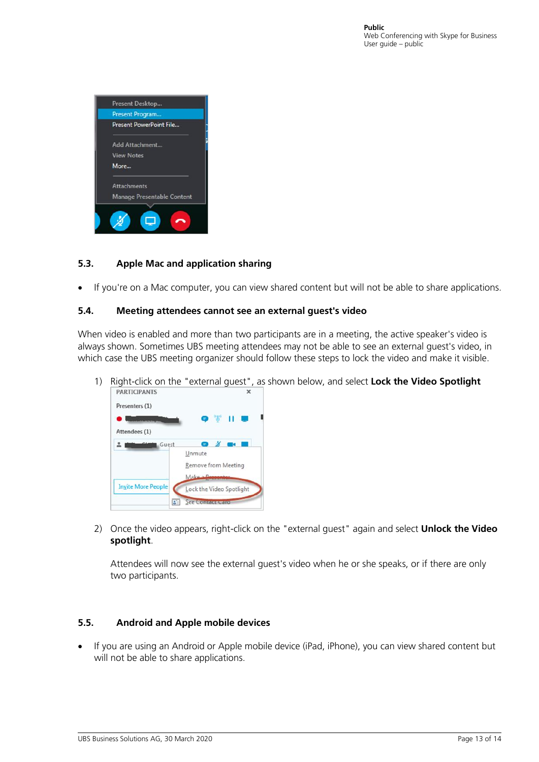

### <span id="page-12-0"></span>**5.3. Apple Mac and application sharing**

If you're on a Mac computer, you can view shared content but will not be able to share applications.

#### <span id="page-12-1"></span>**5.4. Meeting attendees cannot see an external guest's video**

When video is enabled and more than two participants are in a meeting, the active speaker's video is always shown. Sometimes UBS meeting attendees may not be able to see an external guest's video, in which case the UBS meeting organizer should follow these steps to lock the video and make it visible.

1) Right-click on the "external guest", as shown below, and select **Lock the Video Spotlight**



2) Once the video appears, right-click on the "external guest" again and select **Unlock the Video spotlight**.

Attendees will now see the external guest's video when he or she speaks, or if there are only two participants.

#### <span id="page-12-2"></span>**5.5. Android and Apple mobile devices**

• If you are using an Android or Apple mobile device (iPad, iPhone), you can view shared content but will not be able to share applications.